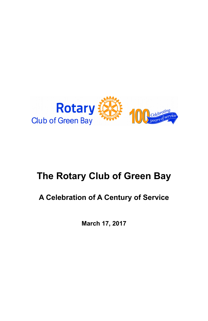

# **The Rotary Club of Green Bay**

## **A Celebration of A Century of Service**

**March 17, 2017**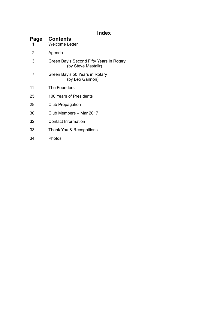### **Index**

| <b>Page</b><br>1 | <b>Contents</b><br>Welcome I etter                              |  |
|------------------|-----------------------------------------------------------------|--|
| 2                | Agenda                                                          |  |
| 3                | Green Bay's Second Fifty Years in Rotary<br>(by Steve Mastalir) |  |
| 7                | Green Bay's 50 Years in Rotary<br>(by Leo Gannon)               |  |
| 11               | The Founders                                                    |  |
| 25               | 100 Years of Presidents                                         |  |
| 28               | Club Propagation                                                |  |
| 30               | Club Members - Mar 2017                                         |  |
| 32               | Contact Information                                             |  |
| 33               | Thank You & Recognitions                                        |  |
| 34               | Photos                                                          |  |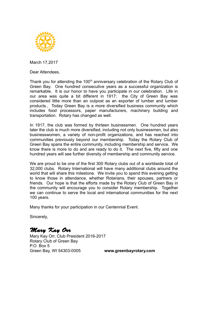

March 17,2017

Dear Attendees,

Thank you for attending the 100<sup>th</sup> anniversary celebration of the Rotary Club of Green Bay. One hundred consecutive years as a successful organization is remarkable. It is our honor to have you participate in our celebration. Life in our area was quite a bit different in 1917; the City of Green Bay was considered little more than an outpost as an exporter of lumber and lumber products., Today Green Bay is a more diversified business community which includes food processors, paper manufacturers, machinery building and transportation. Rotary has changed as well.

In 1917, the club was formed by thirteen businessmen. One hundred years later the club is much more diversified, including not only businessmen, but also businesswomen, a variety of non-profit organizations, and has reached into communities previously beyond our membership. Today the Rotary Club of Green Bay spans the entire community, including membership and service. We know there is more to do and are ready to do it. The next five, fifty and one hundred years will see further diversity of membership and community service.

We are proud to be one of the first 300 Rotary clubs out of a worldwide total of 32,000 clubs. Rotary International will have many additional clubs around the world that will share this milestone. We invite you to spend this evening getting to know those in attendance, whether Rotarians, their spouses, partners or friends. Our hope is that the efforts made by the Rotary Club of Green Bay in the community will encourage you to consider Rotary membership. Together we can continue to serve the local and international communities for the next 100 years.

Many thanks for your participation in our Centennial Event.

Sincerely,

Mary Kay Orr

Mary Kay Orr, Club President 2016-2017 Rotary Club of Green Bay P.O. Box 5 Green Bay, WI 54303-0005 **www.greenbayrotary.com**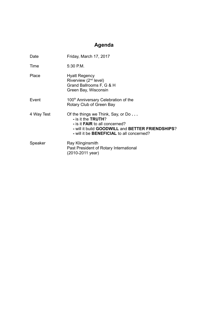## **Agenda**

| Date       | Friday, March 17, 2017                                                                                                                                                                                    |
|------------|-----------------------------------------------------------------------------------------------------------------------------------------------------------------------------------------------------------|
| Time       | 5.30 P.M.                                                                                                                                                                                                 |
| Place      | <b>Hyatt Regency</b><br>Riverview (2 <sup>nd</sup> level)<br>Grand Ballrooms F, G & H<br>Green Bay, Wisconsin                                                                                             |
| Event      | 100 <sup>th</sup> Anniversary Celebration of the<br>Rotary Club of Green Bay                                                                                                                              |
| 4 Way Test | Of the things we Think, Say, or Do<br>- is it the TRUTH?<br>- is it <b>FAIR</b> to all concerned?<br>- will it build GOODWILL and BETTER FRIENDSHIPS?<br>- will it be <b>BENEFICIAL</b> to all concerned? |
| Speaker    | Ray Klinginsmith<br>Past President of Rotary International<br>(2010-2011 year)                                                                                                                            |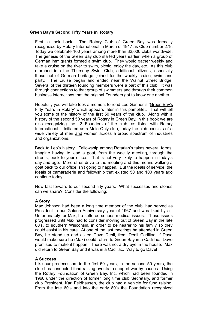#### **Green Bay's Second Fifty Years in Rotary**

First, a look back. The Rotary Club of Green Bay was formally recognized by Rotary International in March of 1917 as Club number 279. Today we celebrate 100 years among more than 32,000 clubs worldwide. The genesis of the Green Bay club started years earlier, when a group of German immigrants formed a swim club. They would gather weekly and take a cruise on the river to swim, picnic, enjoy the day, etc. As this club morphed into the Thursday Swim Club, additional citizens, especially those not of German heritage, joined for the weekly cruise, swim and party. The cruise began and ended near the Walnut Street Bridge. Several of the thirteen founding members were a part of this club. It was through connections to that group of swimmers and through their common business interactions that the original Founders got to know one another.

Hopefully you will take took a moment to read Leo Gannon's 'Green Bay's Fifty Years in Rotary' which appears later in this pamphlet. That will tell you some of the history of the first 50 years of the club. Along with a history of the second 50 years of Rotary in Green Bay, in this book we are also recognizing the 13 Founders of the club, as listed with Rotary International. Initiated as a Male Only club, today the club consists of a wide variety of men and women across a broad spectrum of industries and organizations.

Back to Leo's history. Fellowship among Rotarian's takes several forms. Imagine having to lead a goat, from the weekly meeting, through the streets, back to your office. That is not very likely to happen in today's day and age. More of us drive to the meeting and this means walking a goat back to our office isn't going to happen. But the ideals of service, the ideals of camaraderie and fellowship that existed 50 and 100 years ago continue today.

Now fast forward to our second fifty years. What successes and stories can we share? Consider the following:

#### **A Story**

Max Johnson had been a long time member of the club, had served as President in our Golden Anniversary year of 1967 and was liked by all. Unfortunately for Max, he suffered serious medical issues. These issues progressed until Max had to consider moving out of Green Bay in the late 80's, to southern Wisconsin, in order to be nearer to his family so they could assist in his care. At one of the last meetings he attended in Green Bay, he stood up and asked Dave Denil, from Denil Cadillac, if Dave would make sure he (Max) could return to Green Bay in a Cadillac. Dave promised to make it happen. There was not a dry eye in the house. Max did return to Green Bay and it was in a Cadillac. Way to go Dave!

#### **A Success**

Like our predecessors in the first 50 years, in the second 50 years, the club has conducted fund raising events to support worthy causes. Using the Rotary Foundation of Green Bay, Inc, which had been founded in 1960 under the direction of former long time club Secretary, and former club President, Karl Feldhausen, the club had a vehicle for fund raising. From the late 60's and into the early 80's the Foundation recognized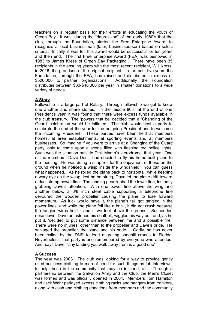teachers on a regular basis for their efforts in educating the youth of Green Bay. It was, during the "depression" of the early 1980's that the club, through the Foundation, started the Free Enterprise Award, to recognize a local businessman (later, businessperson) based on select criteria. Initially, it was felt this award would be successful for ten years and then end. The first Free Enterprise Award (FEA) was bestowed in 1983 to James Kress of Green Bay Packaging.. There have been 35 recipients in the ensuing years with the most recent recipient, Will Kress, in 2016, the grandson of the original recipient. In the past five years the Foundation, through the FEA, has raised and distributed in excess of \$500,000 to partner organizations. Additionally, the Foundation \$500,000 to partner organizations. distributes between \$30-\$40,000 per year in smaller donations to a wide variety of needs.

#### **A Story**

Fellowship is a large part of Rotary. Through fellowship we get to know one another and share stories. In the middle 80's, at the end of one President's year, it was found that there were excess funds available in the club treasury. The 'powers that be' decided that a 'Changing of the Guard' celebration would be initiated. The club would host a party to celebrate the end of the year for the outgoing President and to welcome the incoming President. These parties have been held at members homes, at area establishments, at sporting events and at members businesses. So imagine if you were to arrive at a Changing of the Guard party, only to come upon a scene filled with flashing red police lights. Such was the situation outside Dick Martin's 'aerodrome' that year. One of the members, Dave Denil, had decided to fly his home-built plane to the meeting. He was doing a snap roll for the enjoyment of those on the ground when he noticed a wasp inside the windshield. You can guess what happened. As he rolled the plane back to horizontal, while keeping a wary eye on the wasp, lest he be stung, Dave let the plane drift toward a dual strung power line. The landing gear rubbed the lower line, instantly grabbing Dave's attention. With one power line above the wing and another below, a 3/8 inch steel cable supporting a telephone line devoured the wooden propeller causing the plane to lose forward momentum. As luck would have it, the plane's tail got tangled in the power lines, and while the plane fell like a brick, it did not crash because the tangled wires held it about two feet above the ground. Suspended nose down, Dave unfastened his seatbelt, wiggled his way out, and, as he put it, 'decided to put some distance between me and a possible fire'. There were no injuries, other than to the propeller and Dave's pride. He salvaged the propeller, the plane and his pride. Oddly, he has never been called by the DNR to lead migrating sandhill cranes to Florida. Nevertheless, that party is one remembered by everyone who attended. And, says Dave, "any landing you walk away from is a good one".

#### **A Success**

The year was 2003. The club was looking for a way to provide gently used business clothing to men of need for such things as job interviews, to help those in the community that may be in need, etc. Through a partnership between the Salvation Army and the Club, the Men's Closet was formed and was officially opened in 2004. Members Tom Hamilton and Jack Wahr parlayed excess clothing racks and hangers from Yonkers, along with cash and clothing donations from members and the community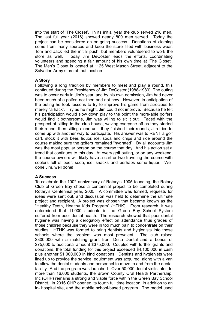into the start of 'The Closet'. In its initial year the club served 218 men. The last full year (2016) showed nearly 800 men served. Today the project can be considered an on-going success. Donations of clothing come from many sources and keep the store filled with business wear. Tom and Jack led the initial push, but members volunteered to work the store as well. Today Jim DeCoster leads the efforts, coordinating volunteers and spending a fair amount of his own time at 'The Closet'. The Men's Closet is located at 1125 West Mason Street, adjacent to the Salvation Army store at that location.

#### **A Story**

Following a long tradition by members to meet and play a round, this continued during the Presidency of Jim DeCoster (1988-1989). The outing was to occur early in Jim's year, and by his own admission, Jim had never been much of a golfer, not then and not now. However, in anticipation of the outing he took lessons to try to improve his game from atrocious to merely "a hack". Try as he might, Jim could not improve. Because he felt his participation would slow down play to the point the more-able golfers would find it bothersome, Jim was willing to sit it out. Faced with the prospect of sitting in the club house, waving everyone off as they started their round, then sitting alone until they finished their rounds, Jim tried to come up with another way to participate. His answer was to RENT a golf cart, stock it with beer, liquor, ice, soda and chips and ride around the course making sure the golfers remained "hydrated". By all accounts Jim was the most popular person on the course that day. And his action set a trend that continues to this day. At every golf outing, or on any weekend, the course owners will likely have a cart or two traveling the course with coolers full of beer, soda, ice, snacks and perhaps some liquor. Well done Jim, well done!

#### **A Success**

To celebrate the 100<sup>th</sup> anniversary of Rotary's 1905 founding, the Rotary Club of Green Bay chose a centennial project to be completed during Rotary's Centennial year, 2005. A committee was formed, requests for ideas were sent out, and discussion was held to determine the ultimate project and recipient. A project was chosen that became known as the "Healthy Teeth, Healthy Kids Program" (HTHK). From research, it was determined that 11,000 students in the Green Bay School System suffered from poor dental health. The research showed that poor dental hygiene was having a derogatory effect on attendance thus grades of those children because they were in too much pain to concentrate on their studies. HTHK was formed to bring dentists and hygienists into those schools where the problem was most prevalent. The club raised \$300,000 with a matching grant from Delta Dental and a bonus of \$75,000 to additional amount \$375,000. Coupled with further grants and donations, the total funding for this project exceeded \$4,100,000 in cash plus another \$1,000,000 in kind donations. Dentists and hygienists were lined up to provide the service, equipment was acquired, along with a van to allow the dental students and personnel to move to and from the dental facility. And the program was launched. Over 50,000 dental visits later, to more than 16,000 students, the Brown County Oral Health Partnership, Inc (OHP) remains a strong and viable force within the Green Bay School District. In 2016 OHP opened its fourth full time location, in addition to an in- hospital site, and the mobile school-based program. The model used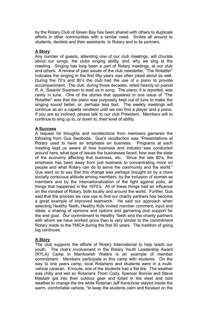by the Rotary Club of Green Bay has been shared with others to duplicate efforts in other communities with a similar need. Smiles all around to students, dentists and their assistants, to Rotary and to its partners.

#### **A Story**

Any number of guests, attending one of our club meetings, will chuckle about our songs, the clubs singing ability, and, why we sing at the meeting. Singing has long been a part of Rotary meetings, at our club and others. A review of past issues of the club newsletter, "The Rotattler" indicates the singing in the first fifty years was often joked about as well. During the 70's and 80's the club had the use of a piano to provide accompaniment. The club, during those decades, relied heavily on pianist R. A. 'Swanie' Swanson to lead us in song. The piano, it is reported, was rarely in tune. One of the stories that appeared in one issue of "The Rotattler" was that the piano was purposely kept out of tune to make the singing sound better, or, perhaps less bad. The weekly meetings will continue as an a capella rendition until we can find a player and a piano. If you are so inclined, please talk to our club President. Members will to continue to sing up to, or down to, their level of ability.

#### **A Success**

A request for thoughts and recollections from members garnered the following from Gus Swoboda. Gus's recollection was "Presentations at Rotary used to have an emphasis on business. Programs at each meeting kept us aware of how business and industry was conducted around here, what type of issues the businesses faced, how was the state of the economy affecting that business, etc. Since the late 80's, the emphasis has been away from just business to concentrating more on people and what Rotary can do to serve the community and the world." Gus went on to say that this change was perhaps brought on by a more socially conscious attitude among members, by the inclusion of women as members and by the internationalization of the fight against polio, all things that happened in the 1970's. All of these things had an influence on the mindset of Rotary, both locally and around the world. Further, Gus said that the process we now use to find our charity partners has become a great example of improved teamwork. He said our approach when selecting Healthy Teeth, Healthy Kids invited member comment, input and ideas, a sharing of opinions and options and garnering club support for the end goal. Our commitment to Healthy Teeth and the charity partners with whom we have worked since then is very similar to the commitment Rotary made to the YMCA during the first 50 years. The tradition of going big continues.

#### **A Story**

The club supports the efforts of Rotary International to help teach our youth. The club's involvement in the Rotary Youth Leadership Award (RYLA) Camp in Manitowish Waters is an example of member commitment. Members participate in this camp with students. On the way to one years camp, local Rotarians and students were in a multivehicle caravan. Enroute, one of the students had a flat tire. The weather was chilly and wet so Rotarians Thom Cody, Spencer Bonnie and Steve Mastalir got into their outdoor gear and toiled in the sleet and cold weather to change the tire while Rotarian Jeff Kerschner stayed inside the warm, comfortable vehicle, "to keep the students calm and focused on the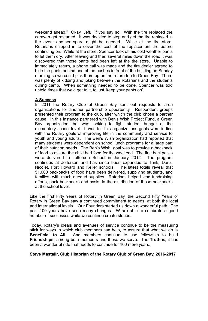weekend ahead." Okay, Jeff. If you say so. With the tire replaced the caravan got restarted. It was decided to stop and get the tire replaced in the event another spare might be needed. While at the tire store, Rotarians chipped in to cover the cost of the replacement tire before continuing on. While at the store, Spencer took off his cold weather pants to let them dry. After leaving and then several miles down the road it was discovered that those pants had been left at the tire store. Unable to immediately return, a phone call was made and the tire dealer agreed to hide the pants behind one of the bushes in front of the building on Sunday morning so we could pick them up on the return trip to Green Bay. There was plenty of kidding and joking between the Rotarians and the students during camp. When something needed to be done, Spencer was told untold times that we'd get to it, to just 'keep your pants on'.

#### **A Success**

In 2011 the Rotary Club of Green Bay sent out requests to area organizations for another partnership opportunity. Respondent groups presented their program to the club, after which the club chose a partner cause. In this instance partnered with Ben's Wish Project Fund, a Green Bay organization that was looking to fight student hunger at the elementary school level. It was felt this organizations goals were in line with the Rotary goals of improving life in the community and service to youth and young adults. The Ben's Wish organization had reported that many students were dependent on school lunch programs for a large part of their nutrition needs. The Ben's Wish goal was to provide a backpack of food to assure the child had food for the weekend. The first backpacks were delivered to Jefferson School in January 2012. The program continues at Jefferson and has since been expanded to Tank, Danz, Nicolet, Fort Howard and Keller schools. The latest totals reveal that 51,000 backpacks of food have been delivered, supplying students, and families, with much needed supplies. Rotarians helped lead fundraising efforts, pack backpacks and assist in the distribution of those backpacks at the school level.

Like the first Fifty Years of Rotary in Green Bay, the Second Fifty Years of Rotary in Green Bay saw a continued commitment to needs, at both the local and international levels. Our Founders started us down a wonderful path. The past 100 years have seen many changes. W are able to celebrate a good number of successes while we continue create stories.

Today, Rotary's ideals and avenues of service continue to be the measuring stick for ways in which club members can help, to assure that what we do is **Beneficial to All**. And members continue to use fellowship to build **Friendships**, among both members and those we serve. The **Truth** is, it has been a wonderful ride that needs to continue for 100 more years.

#### **Steve Mastalir, Club Historian of the Rotary Club of Green Bay, 2016-2017**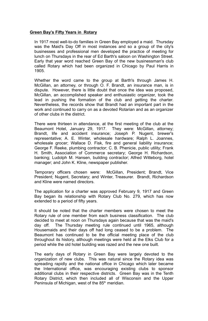#### **Green Bay's Fifty Years in Rotary**

In 1917 most well-to-do families in Green Bay employed a maid. Thursday was the Maid's Day Off in most instances and so a group of the city's businesses and professional men developed the practice of meeting for lunch on Thursdays in the rear of Ed Barth's saloon on Washington Street. Early that year word reached Green Bay of the new businessman's club called Rotary which had been organized in Chicago by Paul Harris in 1905.

Whether the word came to the group at Barth's through James H. McGillan, an attorney, or through O. F. Brandt, an insurance man, is in dispute. However, there is little doubt that once the idea was proposed, McGillan, an accomplished speaker and enthusiastic organizer, took the lead in pushing the formation of the club and getting the charter. Nevertheless, the records show that Brandt had an important part in the work and continued to carry on as a devoted Rotarian and as an organizer of other clubs in the district.

There were thirteen in attendance, at the first meeting of the club at the Beaumont Hotel, January 29, 1917. They were: McGillan, attorney; Brandt, life and accident insurance; Joseph P. Nugent, brewer's representative; A. E. Winter, wholesale hardware; Ralph L. Joannes, wholesale grocer; Wallace D. Fisk, fire and general liability insurance; George F. Reeke, plumbing contractor; C. B. Phenicie, public utility; Frank H. Smith, Association of Commerce secretary; George H. Richardson, banking; Ludolph M. Hansen, building contractor; Alfred Witteborg, hotel manager; and John K. Kline, newspaper publisher.

Temporary officers chosen were: McGillan, President; Brandt, Vice President; Nugent, Secretary; and Winter, Treasurer. Brandt, Richardson and Kline were named directors.

The application for a charter was approved February 9, 1917 and Green Bay began its relationship with Rotary Club No. 279, which has now extended to a period of fifty years.

It should be noted that the charter members were chosen to meet the Rotary rule of one member from each business classification. The club decided to meet at noon on Thursdays again because that was the maid's day off. The Thursday meeting rule continued until 1965, although Housemaids and their days off had long ceased to be a problem. The Beaumont has continued to be the official meeting place of the club throughout its history, although meetings were held at the Elks Club for a period while the old hotel building was razed and the new one built.

The early days of Rotary in Green Bay were largely devoted to the organization of new clubs. This was natural since the Rotary idea was spreading rapidly and the national office in Chicago which later became the International office, was encouraging existing clubs to sponsor additional clubs in their respective districts. Green Bay was in the Tenth Rotary District, which then included all of Wisconsin and the Upper Peninsula of Michigan, west of the  $85<sup>th</sup>$  meridian.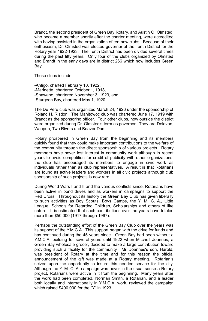Brandt, the second president of Green Bay Rotary, and Austin O. Olmsted, who became a member shortly after the charter meeting, were accredited with having assisted in the organization of ten new clubs. Because of their enthusiasm, Dr. Olmsted was elected governor of the Tenth District for the Rotary year 1922-1923. The Tenth District has been divided several times during the past fifty years. Only four of the clubs organized by Olmsted and Brandt in the early days are in district 266 which now includes Green Bay.

These clubs include

-Antigo, charted February 10, 1922, -Marinette, chartered October 1, 1918, -Shawano, chartered November 3, 1923, and, -Sturgeon Bay, chartered May 1, 1920

The De Pere club was organized March 24, 1926 under the sponsorship of Roland H. Risdon. The Manitowoc club was chartered June 17, 1919 with Brandt as the sponsoring officer. Four other clubs, now outside the district were organized during Dr. Olmsted's term as governor. They are Delavan, Waupun, Two Rivers and Beaver Dam.

Rotary prospered in Green Bay from the beginning and its members quickly found that they could make important contributions to the welfare of the community through the direct sponsorship of various projects. Rotary members have never lost interest in community work although in recent years to avoid competition for credit of publicity with other organizations, the club has encouraged its members to engage in civic work as individuals rather than as club representatives. A result is that Rotarians are found as active leaders and workers in all civic projects although club sponsorship of such projects is now rare.

During World Wars I and II and the various conflicts since, Rotarians have been active in bond drives and as workers in campaigns to support the Red Cross. Throughout its history the Green Bay Club has given liberally to such activities as Boy Scouts, Boys Camps, the Y. M. C. A., Little League, Schools for Retarded Children, Scholarships and others of like nature. It is estimated that such contributions over the years have totaled more than \$50,000 (1917 through 1967).

Perhaps the outstanding effort of the Green Bay Club over the years was its support of the Y.M.C.A. This support began with the drive for funds and has continued during the 45 years since. Green Bay had been without a Y.M.C.A. building for several years until 1922 when Mitchell Joannes, a Green Bay wholesale grocer, decided to make a large contribution toward providing such a facility for the community. Mr. Joannes's son, Harold, was president of Rotary at the time and for this reason the official announcement of the gift was made at a Rotary meeting. Rotarian's seized upon the opportunity to insure this needed service for the city. Although the Y. M. C. A. campaign was never in the usual sense a Rotary project, Rotarians were active in it from the beginning. Many years after the work had been completed, Norman Smith, a Rotarian, and a leader both locally and internationally in Y.M.C.A. work, reviewed the campaign which raised \$400,000 for the "Y" in 1923.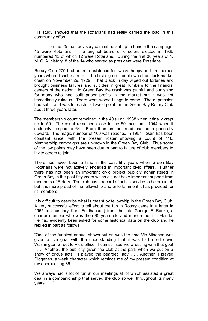His study showed that the Rotarians had really carried the load in this community effort.

On the 25 man advisory committee set up to handle the campaign, 15 were Rotarians. The original board of directors elected in 1925 numbered 15 of which 12 were Rotarians. During the first 30 years of Y. M. C. A. history, 8 of the 14 who served as president were Rotarians.

Rotary Club 279 had been in existence for twelve happy and prosperous years when disaster struck. The first sign of trouble was the stock market crash on November 29, 1929. That Black Friday wiped out fortunes and brought business failures and suicides in great numbers to the financial centers of the nation. In Green Bay the crash was painful and punishing for many who had built paper profits in the market but it was not immediately ruinous. There were worse things to come. The depression had set in and was to reach its lowest point for the Green Bay Rotary Club about three years later.

The membership count remained in the 40's until 1938 when it finally crept up to 50. The count remained close to the 50 mark until 1944 when it suddenly jumped to 64. From then on the trend has been generally upward. The magic number of 100 was reached in 1951. Gain has been constant since, with the present roster showing a count of 116. Membership campaigns are unknown in the Green Bay Club. Thus some of the low points may have been due in part to failure of club members to invite others to join.

There has never been a time in the past fifty years when Green Bay Rotarians were not actively engaged in important civic affairs. Further there has not been an important civic project publicly administered in Green Bay in the past fifty years which did not have important support from members of Rotary. The club has a record of public service to be proud of, but it is more proud of the fellowship and entertainment it has provided for its members.

It is difficult to describe what is meant by fellowship in the Green Bay Club. A very successful effort to tell about the fun in Rotary came in a letter in 1955 to secretary Karl (Feldhausen) from the late George F. Reeke, a charter member who was then 85 years old and in retirement in Florida. He had evidently been asked for some historical data on the club and he replied in part as follows:

"One of the funniest annual shows put on was the time Vic Minahan was given a live goat with the understanding that it was to be led down Washington Street to Vic's office. I can still see Vic wrestling with that goat . . . Another, the publicity given the club at the park when we put on a show of circus acts. I played the bearded lady . . . Another, I played Diogenes, a weak character which reminds me of my present condition at my approaching 86.

We always had a lot of fun at our meetings all of which assisted a great deal in a companionship that served the club so well throughout its many years . . . "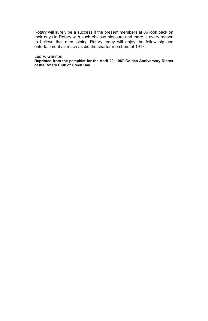Rotary will surely be a success if the present members at 86 look back on their days in Rotary with such obvious pleasure and there is every reason to believe that men joining Rotary today will enjoy the fellowship and entertainment as much as did the charter members of 1917.

#### Leo V. Gannon

**Reprinted from the pamphlet for the April 20, 1967 Golden Anniversary Dinner of the Rotary Club of Green Bay**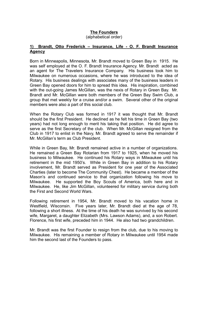#### **The Founders**

(alphabetical order)

#### **1) Brandt, Otto Frederick – Insurance, Life - O. F. Brandt Insurance Agency**

Born in Minneapolis, Minnesota, Mr. Brandt moved to Green Bay in 1915. He was self employed at the O. F. Brandt Insurance Agency. Mr. Brandt acted as an agent for The Travelers Insurance Company. His business took him to Milwaukee on numerous occasions, where he was introduced to the idea of Rotary. His business dealings with associates many of the business leaders in Green Bay opened doors for him to spread this idea. His inspiration, combined with the out-going James McGillan, was the nexis of Rotary in Green Bay. Mr. Brandt and Mr. McGillan were both members of the Green Bay Swim Club, a group that met weekly for a cruise and/or a swim. Several other of the original members were also a part of this social club.

When the Rotary Club was formed in 1917 it was thought that Mr. Brandt should be the first President. He declined as he felt his time in Green Bay (two years) had not long enough to merit his taking that position. He did agree to serve as the first Secretary of the club. When Mr. McGillan resigned from the Club in 1917 to enlist in the Navy, Mr. Brandt agreed to serve the remainder if Mr. McGillan's term as Club President.

While in Green Bay, Mr. Brandt remained active in a number of organizations. He remained a Green Bay Rotarian from 1917 to 1925, when he moved his business to Milwaukee. He continued his Rotary ways in Milwaukee until his retirement in the mid 1950's. While in Green Bay in addition to his Rotary involvement, Mr. Brandt served as President for one year of the Associated Charties (later to become The Community Chest). He became a member of the Mason's and continued service to that organization following his move to Milwaukee. He supported the Boy Scouts of America, both here and in Milwaukee. He, like Jim McGillan, volunteered for military service during both the First and Second World Wars.

Following retirement in 1954, Mr. Brandt moved to his vacation home in Westfield, Wisconsin. Five years later, Mr. Brandt died at the age of 78, following a short illness. At the time of his death he was survived by his second wife, Margaret, a daughter Elizabeth (Mrs. Lawson Adams), and, a son Robert. Florence, his first wife, preceded him in 1944. He also had two grandchildren.

Mr. Brandt was the first Founder to resign from the club, due to his moving to Milwaukee. His remaining a member of Rotary in Milwaukee until 1954 made him the second last of the Founders to pass.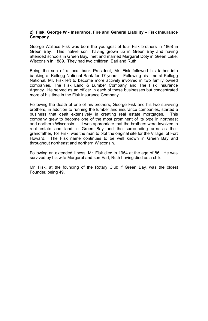#### **2) Fisk, George W - Insurance, Fire and General Liability – Fisk Insurance Company**

George Wallace Fisk was born the youngest of four Fisk brothers in 1868 in Green Bay. This 'native son', having grown up in Green Bay and having attended schools in Green Bay, met and married Margaret Doty in Green Lake, Wisconsin in 1889. They had two children, Earl and Ruth.

Being the son of a local bank President, Mr. Fisk followed his father into banking at Kellogg National Bank for 17 years. Following his time at Kellogg National, Mr. Fisk left to become more actively involved in two family owned companies, The Fisk Land & Lumber Company and The Fisk Insurance Agency. He served as an officer in each of these businesses but concentrated more of his time in the Fisk Insurance Company.

Following the death of one of his brothers, George Fisk and his two surviving brothers, in addition to running the lumber and insurance companies, started a business that dealt extensively in creating real estate mortgages. This company grew to become one of the most prominent of its type in northeast and northern Wisconsin. It was appropriate that the brothers were involved in real estate and land in Green Bay and the surrounding area as their grandfather, Toll Fisk, was the man to plot the original site for the Village of Fort Howard. The Fisk name continues to be well known in Green Bay and throughout northeast and northern Wisconsin.

Following an extended illness, Mr. Fisk died in 1954 at the age of 86. He was survived by his wife Margaret and son Earl, Ruth having died as a child.

Mr. Fisk, at the founding of the Rotary Club if Green Bay, was the oldest Founder, being 49.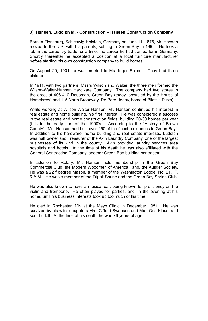#### **3) Hansen, Ludolph M. - Construction – Hansen Construction Company**

Born in Flensburg, Schleswig-Holstein, Germany on June 11, 1875, Mr. Hansen moved to the U.S. with his parents, settling in Green Bay in 1895. He took a job in the carpentry trade for a time, the career he had trained for in Germany. Shortly thereafter he accepted a position at a local furniture manufacturer before starting his own construction company to build homes.

On August 20, 1901 he was married to Ms. Inger Selmer. They had three children.

In 1911, with two partners, Mssrs Wilson and Walter, the three men formed the Wilson-Walter-Hansen Hardware Company. The company had two stores in the area, at 406-410 Dousman, Green Bay (today, occupied by the House of Homebrew) and 115 North Broadway, De Pere (today, home of Bilotti's Pizza).

While working at Wilson-Walter-Hansen, Mr. Hansen continued his interest in real estate and home building, his first interest. He was considered a success in the real estate and home construction fields, building 20-30 homes per year (this in the early part of the 1900's). According to the "History of Brown County", 'Mr. Hansen had built over 250 of the finest residences in Green Bay'. In addition to his hardware, home building and real estate interests, Ludolph was half owner and Treasurer of the Akin Laundry Company, one of the largest businesses of its kind in the county. Akin provided laundry services area hospitals and hotels. At the time of his death he was also affiliated with the General Contracting Company, another Green Bay building contractor.

In addition to Rotary, Mr. Hansen held membership in the Green Bay Commercial Club, the Modern Woodmen of America, and, the Ausger Society. He was a 22<sup>nd</sup> degree Mason, a member of the Washington Lodge, No. 21, F. & A.M. He was a member of the Tripoli Shrine and the Green Bay Shrine Club.

He was also known to have a musical ear, being known for proficiency on the violin and trombone. He often played for parties, and, in the evening at his home, until his business interests took up too much of his time.

He died in Rochester, MN at the Mayo Clinic in December 1951. He was survived by his wife, daughters Mrs. Clfford Swanson and Mrs. Gus Klaus, and son, Ludolf. At the time of his death, he was 76 years of age.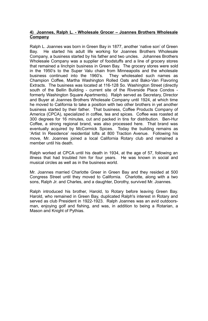#### **4) Joannes, Ralph L. - Wholesale Grocer – Joannes Brothers Wholesale Company**

Ralph L. Joannes was born in Green Bay in 1877, another 'native son' of Green Bay. He started his adult life working for Joannes Brothers Wholesale Company, a business started by his father and two uncles. Johannes Brothers Wholesale Company was a supplier of foodstuffs and a line of grocery stores that remained a linchpin business in Green Bay. The grocery stores were sold in the 1950's to the Super Valu chain from Minneapolis and the wholesale business continued into the 1960's. They wholesaled such names as Champion Coffee, Martha Washington Rolled Oats and Bako-Van Flavoring Extracts. The business was located at 116-128 So. Washington Street (directly south of the Bellin Building - current site of the Riverside Place Condos formerly Washington Square Apartments). Ralph served as Secretary, Director and Buyer at Joannes Brothers Wholesale Company until 1924, at which time he moved to California to take a position with two other brothers in yet another business started by their father. That business, Coffee Products Company of America (CPCA), specialized in coffee, tea and spices. Coffee was roasted at 300 degrees for 16 minutes, cut and packed in tins for distribution. Ben-Hur Coffee, a strong regional brand, was also processed here. That brand was eventually acquired by McCormick Spices. Today the building remains as 'Artist In Residence' residential lofts at 800 Traction Avenue. Following his move, Mr. Joannes joined a local California Rotary club and remained a member until his death.

Ralph worked at CPCA until his death in 1934, at the age of 57, following an illness that had troubled him for four years. He was known in social and musical circles as well as in the business world.

Mr. Joannes married Charlotte Greer in Green Bay and they resided at 500 Congress Street until they moved to California. Charlotte, along with a two sons, Ralph Jr. and Charles, and a daughter, Dorothy, survived Mr. Joannes.

Ralph introduced his brother, Harold, to Rotary before leaving Green Bay. Harold, who remained in Green Bay, duplicated Ralph's interest in Rotary and served as club President in 1922-1923. Ralph Joannes was an avid outdoorsman, enjoying golf and fishing, and was, in addition to being a Rotarian, a Mason and Knight of Pythias.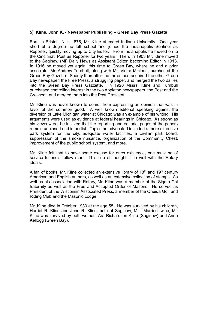#### **5) Kline, John K. - Newspaper Publishing – Green Bay Press Gazette**

Born in Bristol, IN in 1875, Mr. Kline attended Indiana University. One year short of a degree he left school and joined the Indianapolis Sentinel as Reporter, quickly moving up to City Editor. From Indianapolis he moved on to the Cincinnati Post as Reporter for two years. Then, in 1903 Mr. Kline moved to the Saginaw (MI) Daily News as Assistant Editor, becoming Editor in 1913. In 1916 he moved yet again, this time to Green Bay, where he and a prior associate, Mr. Andrew Turnbull, along with Mr. Victor Minihan, purchased the Green Bay Gazette. Shortly thereafter the three men acquired the other Green Bay newspaper, the Free Press, a struggling paper, and merged the two dailies into the Green Bay Press Gazzette. In 1920 Mssrs. Kline and Turnbull purchased controlling interest in the two Appleton newspapers, the Post and the Crescent, and merged them into the Post Crescent.

Mr. Kline was never known to demur from expressing an opinion that was in favor of the common good. A well known editorial speaking against the diversion of Lake Michigan water at Chicago was an example of his writing. His arguments were used as evidence at federal hearings in Chicago. As strong as his views were, he insisted that the reporting and editorial pages of the papers remain unbiased and impartial. Topics he advocated included a more extensive park system for the city, adequate water facilities, a civilian park board, suppression of the smoke nuisance, organization of the Community Chest, improvement of fhe public school system, and more.

Mr. Kline felt that to have some excuse for ones existence, one must be of service to one's fellow man. This line of thought fit in well with the Rotary ideals.

A fan of books, Mr. Kline collected an extensive library of  $18<sup>th</sup>$  and  $19<sup>th</sup>$  century American and English authors, as well as an extensive collection of stamps. As well as his association with Rotary. Mr. Kline was a member of the Sigma Chi fraternity as well as the Free and Accepted Order of Masons. He served as President of the Wisconsin Associated Press, a member of the Oneida Golf and Riding Club and the Masonic Lodge.

Mr. Kline died in October 1930 at the age 55. He was survived by his children, Harriet R. Kline and John R. Kline, both of Saginaw, MI. Married twice, Mr. Kline was survived by both women, Ara Richardson Kline (Saginaw) and Anne Kellogg (Green Bay).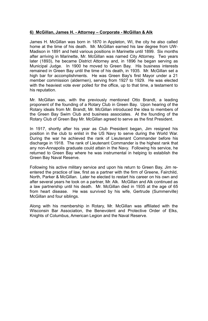#### **6) McGillan, James H. - Attorney – Corporate - McGillan & Alk**

James H. McGillan was born in 1870 in Appleton, WI, the city he also called home at the time of his death. Mr. McGillan earned his law degree from UW-Madison in 1891 and held various positions in Marinette until 1899. Six months after arriving in Marinette, Mr. McGillan was named City Attorney. Two years later (1893), he became District Attorney and, in 1896 he began serving as Municipal Judge. In 1900 he moved to Green Bay. His business interests remained in Green Bay until the time of his death, in 1935. Mr. McGillan set a high bar for accomplishments. He was Green Bay's first Mayor under a 21 member commission (aldermen), serving from 1927 to 1929. He was elected with the heaviest vote ever polled for the office, up to that time, a testament to his reputation.

Mr. McGillan was, with the previously mentioned Otto Brandt, a leading proponent of the founding of a Rotary Club in Green Bay. Upon hearing of the Rotary ideals from Mr. Brandt, Mr. McGillan introduced the idea to members of the Green Bay Swim Club and business associates. At the founding of the Rotary Club of Green Bay Mr. McGillan agreed to serve as the first President.

In 1917, shortly after his year as Club President began, Jim resigned his position in the club to enlist in the US Navy to serve during the World War. During the war he achieved the rank of Lieutenant Commander before his discharge in 1918. The rank of Lieutenant Commander is the highest rank that any non-Annapolis graduate could attain in the Navy. Following his service, he returned to Green Bay where he was instrumental in helping to establish the Green Bay Naval Reserve.

Following his active military service and upon his return to Green Bay, Jim reentered the practice of law, first as a partner with the firm of Greene, Fairchild, North, Parker & McGillan. Later he elected to restart his career on his own and after several years he took on a partner, Mr. Alk. McGillan and Alk continued as a law partnership until his death. Mr. McGillan died in 1935 at the age of 65 from heart disease. He was survived by his wife, Gertrude (Summerville) McGillan and four siblings.

Along with his membership in Rotary, Mr. McGillan was affiliated with the Wisconsin Bar Association, the Benevolent and Protective Order of Elks, Knights of Columbus, American Legion and the Naval Reserve.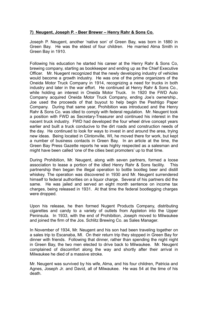#### **7) Neugent, Joseph P. - Beer Brewer – Henry Rahr & Sons Co.**

Joseph P. Neugent, another 'native son' of Green Bay, was born in 1880 in Green Bay. He was the eldest of four children. He married Alma Smith in Green Bay in 1910.

Following his education he started his career at the Henry Rahr & Sons Co, brewing company, starting as bookkeeper and ending up as the Chief Executive Officer. Mr. Nuegent recognized that the newly developing industry of vehicles would become a growth industry. He was one of the prime organizers of the Oneida Motor Truck Company in 1914, recognizing a need for trucks in both industry and later in the war effort. He continued at Henry Rahr & Sons Co., while holding an interest in Oneida Motor Truck. In 1920 the FWD Auto Company acquired Oneida Motor Truck Company, ending Joe's ownership., Joe used the proceeds of that buyout to help begin the Peshtigo Paper Company. During that same year, Prohibition was introduced and the Henry Rahr & Sons Co. was idled to comply with federal regulation. Mr. Neugent took a position with FWD as Secretary-Treasurer and continued his interest in the nacent truck industry. FWD had developed the four wheel drive concept years earlier and built a truck conducive to the dirt roads and construction needs of the day. He continued to look for ways to invest in and around the area, trying new ideas. Being located in Clintonville, WI, he moved there for work, but kept a number of business contacts in Green Bay. In an article at the time, the Green Bay Press Gazette reports he was highly respected as a salesman and might have been called 'one of the cities best promoters' up to that time.

During Prohibition, Mr. Neugent, along with seven partners, formed a loose association to lease a portion of the idled Henry Rahr & Sons facility. This partnership then began the illegal operation to bottle bootleg beer and distill whiskey. The operation was discovered in 1930 and Mr. Neugent surrendered himself to federal authorities on a liquor charge. Several of his partners did the same. He was jailed and served an eight month sentence on income tax charges, being released in 1931. At that time the federal bootlegging charges were dropped.

Upon his release, he then formed Nugent Products Company, distributing cigarettes and candy to a variety of outlets from Appleton into the Upper Peninsula. In 1933, with the end of Prohibition, Joseph moved to Milwaukee and joined the firm of the Jos. Schlitz Brewing Co. as Sales Manager.

In November of 1934, Mr. Neugent and his son had been traveling together on a sales trip to Escanaba, MI. On their return trip they stopped in Green Bay for dinner with friends. Following that dinner, rather than spending the night night in Green Bay, the two men elected to drive back to Milwaukee. Mr. Neugent complained of discomfort along the way and shortly after their arrival in Milwaukee he died of a massive stroke.

Mr. Neugent was survived by his wife, Alma, and his four children, Patricia and Agnes, Joseph Jr. and David, all of Milwaukee. He was 54 at the time of his death.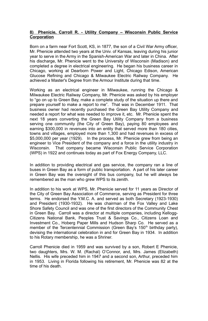#### **8) Phenicie, Carroll R. - Utility Company – Wisconsin Public Service Corporation**

Born on a farm near Fort Scott, KS, in 1877, the son of a Civil War Army officer, Mr. Phenicie attended two years at the Univ. of Kansas, leaving during his junior year to serve in the Army in the Spanish-American War and later in China. After his discharge, Mr. Phenicie went to the University of Wisconsin (Madison) and completed a degree in electrical engineering. He began his business career in Chicago, working at Dearborn Power and Light, Chicago Edison, American Glucose Refining and Chicago & Milwaukee Electric Railway Company. He achieved a Master's Degree from the Armour Institute during that time.

Working as an electrical engineer in Milwaukee, running the Chicago & Milwaukee Electric Railway Company, Mr. Phenicie was asked by his employer to "go on up to Green Bay, make a complete study of the situation up there and prepare yourself to make a report to me". That was in December 1911. That business owner had recently purchased the Green Bay Utility Company and needed a report for what was needed to improve it, etc. Mr. Phenicie spent the next 18 years converting the Green Bay Utility Company from a business serving one community (the City of Green Bay), paying 80 employees and earning \$300,000 in revenues into an entity that served more than 180 cities, towns and villages, employed more than 1,300 and had revenues in excess of \$5,000,000 per year (1929). In the process, Mr. Phenicie grew from being an engineer to Vice President of the company and a force in the utility industry in Wisconsin. That company became Wisconsin Public Service Corporation (WPS) in 1922 and continues today as part of Fox Energy Company, LLC.

In addition to providing electrical and gas service, the company ran a line of buses in Green Bay as a form of public transportation. A part of his later career in Green Bay was the oversight of this bus company, but he will always be remembered as the man who grew WPS to its zenith.

In addition to his work at WPS, Mr. Phenicie served for 11 years as Director of the City of Green Bay Association of Commerce, serving as President for three terms. He endorsed the Y.M.C. A. and served as both Secretary (1923-1930) and President (1930-1932). He was chairman of the Fox Valley and Lake Shore Safety Council and was one of the first directors of the Community Chest in Green Bay. Carroll was a director at multiple companies, including Kellogg-Citizens National Bank, Peoples Trust & Savings Co., Citizens Loan and Investment Co., Hoberg Paper Mills and Hudson Sharp Co. He served as a member of the Tercentennial Commission (Green Bay's 150<sup>th</sup> birthday party), devising the international celebration in and for Green Bay in 1934. In addition to his Rotary membership, he was a Shriner.

Carroll Phenicie died in 1959 and was survived by a son, Robert E Phenicie, two daughters, Mrs. W. M. (Rachal) O'Connor, and, Mrs. James (Elizabeth) Nellis. His wife preceded him in 1947 and a second son, Arthur, preceded him in 1953. Living in Florida following his retirement, Mr. Phenicie was 82 at the time of his death.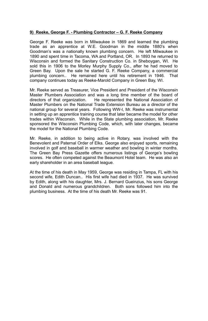#### **9) Reeke, George F. - Plumbing Contractor – G. F. Reeke Company**

George F. Reeke was born in Milwaukee in 1869 and learned the plumbing trade as an apprentice at W.E. Goodman in the middle 1880's when Goodman's was a nationally known plumbing concern. He left Milwaukee in 1890 and spent time in Tacoma, WA and Portland, OR. In 1893 he returned to Wisconsin and formed the Sanitary Construction Co. in Sheboygan, WI. He sold this in 1906 to the Morley Murphy Supply Co., after he had moved to Green Bay. Upon the sale he started G. F. Reeke Company, a commercial plumbing concern.. He remained here until his retirement in 1946. That company continues today as Reeke-Marold Company in Green Bay, WI.

Mr. Reeke served as Treasurer, Vice President and President of the Wisconsin Master Plumbers Association and was a long time member of the board of directors of that organization. He represented the National Association of He represented the National Association of Master Plumbers on the National Trade Extension Bureau as a director of the national group for several years. Following WW-I, Mr. Reeke was instrumental in setting up an apprentice training course that later became the model for other trades within Wisconsin. While in the State plumbing association, Mr. Reeke sponsored the Wisconsin Plumbing Code, which, with later changes, became the model for the National Plumbing Code.

Mr. Reeke, in addition to being active in Rotary, was involved with the Benevolent and Paternal Order of Elks. George also enjoyed sports, remaining involved in golf and baseball in warmer weather and bowling in winter months. The Green Bay Press Gazette offers numerous listings of George's bowling scores. He often competed against the Beaumont Hotel team. He was also an early shareholder in an area baseball league.

At the time of his death in May 1959, George was residing in Tampa, FL with his second wife, Edith Duncan.. His first wife had died in 1937. He was survived by Edith, along with his daughter, Mrs. J. Bernard Gueinzius, his sons George and Donald and numerous grandchildren. Both sons followed him into the plumbing business. At the time of his death Mr. Reeke was 91.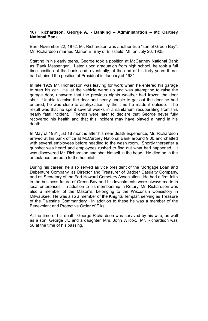#### **10) Richardson, George A. - Banking – Administration – Mc Cartney National Bank**

Born November 22, 1872, Mr. Richardson was another true "son of Green Bay". Mr. Richardson married Marion E. Bay of Blissfield, MI, on July 26, 1905.

Starting in his early teens, George took a position at McCartney National Bank as 'Bank Messenger'. Later, upon graduation from high school, he took a full time position at the bank, and, eventually, at the end of his forty years there, had attained the position of President in January of 1931.

In late 1929 Mr. Richardson was leaving for work when he entered his garage to start his car. He let the vehicle warm up and was attempting to raise the garage door, unaware that the previous nights weather had frozen the door shut. Unable to raise the door and nearly unable to get out the door he had entered, he was close to asphyxiation by the time he made it outside. The result was that he spent several weeks in a sanitarium recuperating from this nearly fatal incident. Friends were later to declare that George never fully recovered his health and that this incident may have played a hand in his death..

In May of 1931 just 18 months after his near death experience, Mr. Richardson arrived at his bank office at McCartney National Bank around 9:00 and chatted with several employees before heading to the wash room. Shortly thereafter a gunshot was heard and employees rushed to find out what had happened. It was discovered Mr. Richardson had shot himself in the head. He died on in the ambulance, enroute to the hospital.

During his career, he also served as vice president of the Mortgage Loan and Debenture Company, as Director and Treasurer of Badger Casualty Company, and as Secretary of the Fort Howard Cemetery Association. He had a firm faith in the business future of Green Bay and his investments were always made in local enterprises. In addition to his membership in Rotary, Mr. Richardson was also a member of the Mason's, belonging to the Wisconsin Consistory in Milwaukee. He was also a member of the Knights Templar, serving as Treasure of the Palestine Commandery. In addition to these he was a member of the Benevolent and Protective Order of Elks.

At the time of his death, George Richardson was survived by his wife, as well as a son, George Jr., and a daughter, Mrs. John Wilcox. Mr. Richardson was 58 at the time of his passing.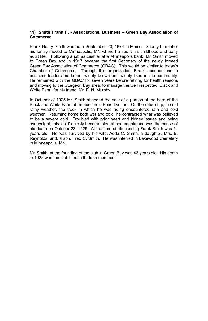#### **11) Smith Frank H. - Associations, Business – Green Bay Association of Commerce**

Frank Henry Smith was born September 20, 1874 in Maine. Shortly thereafter his family moved to Minneapolis, MN where he spent his childhood and early adult life. Following a job as cashier at a Minneapolis bank, Mr. Smith moved to Green Bay and in 1917 became the first Secretary of the newly formed Green Bay Association of Commerce (GBAC). This would be similar to today's Chamber of Commerce. Through this organization, Frank's connections to business leaders made him widely known and widely liked in the community. He remained with the GBAC for seven years before retiring for health reasons and moving to the Sturgeon Bay area, to manage the well respected 'Black and White Farm' for his friend, Mr. E. N. Murphy.

In October of 1925 Mr. Smith attended the sale of a portion of the herd of the Black and White Farm at an auction in Fond Du Lac. On the return trip, in cold rainy weather, the truck in which he was riding encountered rain and cold weather. Returning home both wet and cold, he contracted what was believed to be a severe cold. Troubled with prior heart and kidney issues and being overweight, this 'cold' quickly became pleural pneumonia and was the cause of his death on October 23, 1925. At the time of his passing Frank Smith was 51 years old. He was survived by his wife, Adda C. Smith, a daughter, Mrs. B. Reynolds, and, a son, Fred C. Smith. He was interred in Lakewood Cemetery in Minneapolis, MN.

Mr. Smith, at the founding of the club in Green Bay was 43 years old. His death in 1925 was the first if those thirteen members.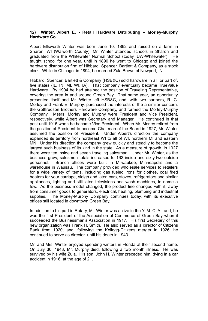#### **12) Winter, Albert E. - Retail Hardware Dstributing – Morley-Murphy Hardware Co.**

Albert Ellsworth Winter was born June 10, 1862 and raised on a farm in Sharon, WI (Walworth County), Mr. Winter attended schools in Sharon and graduated from the Whitewater Normal School (today, UW-Whitewater). He taught school for one year, until in 1890 he went to Chicago and joined the hardware distribution firm of Hibbard, Spencer, Bartlett & Company, as a stock clerk. While in Chicago, in 1894, he married Zula Brown of Newport, IN.

Hibbard, Spencer, Bartlett & Company (HSB&C) sold hardware in all, or part of, five states (IL, IN, MI, WI, IA). That company eventually became TrueValue Hardware. By 1904 he had attained the position of Traveling Representative, covering the area in and around Green Bay. That same year, an opportunity presented itself and Mr. Winter left HSB&C, and, with two partners, R. C. Morley and Frank E. Murphy, purchased the interests of the a similar concern, the Gottfredson Brothers Hardware Company, and formed the Morley-Murphy Company. Mssrs. Morley and Murphy were President and Vice President, respectively, while Albert was Secretary and Manager. He continued in that post until 1915 when he became Vice President. When Mr. Morley retired from the position of President to become Chairman of the Board in 1927, Mr. Winter assumed the position of President. Under Albert's direction the company expanded its territory from northeast WI to all of WI, northern MI and eastern MN. Under his direction the company grew quickly and steadily to become the largest such business of its kind in the state. As a measure of growth, in 1927 there were ten inside and seven traveling salesman. Under Mr. Winter, as the business grew, salesmen totals increased to 162 inside and sixty-two outside personnel. Branch offices were built in Milwaukee, Minneapolis and a warehouse in Wausau. The company provided wholesale services to retailers for a wide variety of items, including gas fueled irons for clothes, coal fired heaters for your carriage, sleigh and later, cars, stoves, refrigerators and similar appliances, lighting and still later, televisions and wash machines, to name a few. As the business model changed, the product line changed with it, away from consumer goods to generators, electrical, heating, plumbing and industrial supplies. The Morley-Murphy Company continues today, with its executive offices still located in downtown Green Bay.

In addition to his part in Rotary, Mr. Winter was active in the Y. M. C. A., and, he was the first President of the Association of Commerce of Green Bay when it succeeded the Businessman's Association in 1917. His first Secretary of this new organization was Frank H. Smith. He also served as a director of Citizens Bank from 1920, and, following the Kellogg-Citizens merger in 1926, he continued to serve as director until his death in 1943.

Mr. and Mrs. Winter enjoyed spending winters in Florida at their second home. On July 30, 1943, Mr. Murphy died, following a two month illness. He was survived by his wife Zula. His son, John H. Winter preceded him, dying in a car accident in 1916, at the age of 21.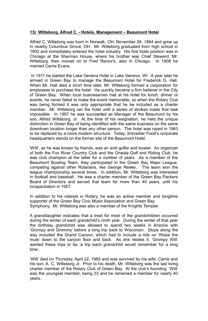#### **13) Witteborg, Alfred C. - Hotels, Management – Beaumont Hotel**

Alfred C. Witteborg was born in Norwalk, OH, November 26, 1884 and grew up in nearby Columbus Grove, OH. Mr. Witteborg graduated from high school in 1902 and immediately entered the hotel industry. His first hotel position was in Chicago at the Sherman House, where his brother was Chief Steward. Mr. Witteborg, then moved on to Fred Rector's, also in Chicago. In 1908 he married Carrie Evans.

In 1911 he started the Lake Geneva Hotel in Lake Geneva, WI. A year later he arrived in Green Bay to manage the Beaumont Hotel for Frederick G. Hall. When Mr. Hall died a short time later, Mr. Witteborg formed a corporation for employees to purchase the hotel. He quickly became a firm believer in the City of Green Bay. When local businessmen met at his hotel for lunch, dinner or events, he never failed to make the event memorable, so when the Rotary Club was being formed it was only appropriate that he be included as a charter member. Mr. Witteborg ran the hotel until a series of strokes made that task impossible. In 1957 he was succeeded as Manager of the Beaumont by his son, Alfred Witteborg, Jr. At the time of his resignation, he held the unique distinction in Green Bay of being identified with the same business on the same downtown location longer than any other person. The hotel was razed in 1963 to be replaced by a more modern structure. Today, Schreiber Food's corporate headquarters stands on the former site of the Beaumont Hotel...

'Witt', as he was known by friends, was an avid golfer and bowler. An organizer of both the Fox River Country Club and the Oneida Golf and Riding Club, he was club champion at the latter for a number of years. As a member of the Beaumont Bowling Team, they participated in the Green Bay Major League, competing against other Rotarians, like George Reeke.. The team won the league championship several times. In addition, Mr. Witteborg was interested in football and baseball. He was a charter member of the Green Bay Packers Board of Directors and served that team for more than 40 years, until his incapacitation in 1957.

In addition to his interest in Rotary, he was an active member and longtime supporter of the Green Bay Civic Music Association and Green Bay Symphony. Mr. Witteborg was also a member of the Knights Templar.

A granddaughter indicates that a treat for most of the grandchildren occurred during the winter of each grandchild's ninth year. During the winter of that year the birthday grandchild was allowed to spend two weeks in Arizona with 'Grompy and Grommy' before a long trip back to Wisconsin. Stops along the way included the Grand Canyon, which had to include a ride on 'Rosie the mule' down to the canyon floor and back. As she relates it, 'Grompy Witt' wanted these trips to be 'a trip each grandchild would remember for a long time'.

'Witt' died on Thursday, April 22, 1965 and was survived by his wife, Carrie and his son, A. C. Witteborg Jr. Prior to his death, Mr. Witteborg was the last living charter member of the Rotary Club of Green Bay. At the club's founding. 'Witt' was the youngest member, being 33 and he remained a member for nearly 40 years.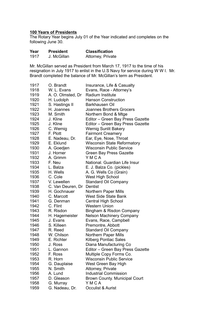### **100 Years of Presidents**

The Rotary Year begins July 01 of the Year indicated and completes on the following June 30.

| Year | <b>President</b> | <b>Classification</b> |
|------|------------------|-----------------------|
| 1917 | J. McGillan      | Attorney, Private     |

Mr. McGillan served as President from March 17, 1917 to the time of his resignation in July 1917 to enlist in the U.S Navy for service during W W I. Mr. Brandt completed the balance of Mr. McGillan's term as President.

| 1917 | O. Brandt         | Insurance, Life & Casualty       |
|------|-------------------|----------------------------------|
| 1918 | W. L. Evans       | Evans, Race - Attorney's         |
| 1919 | A. O. Olmsted, Dr | Radium Institute                 |
| 1920 | H. Ludolph        | Hanson Construction              |
| 1921 | S. Hastings II    | Barkhausen Oil                   |
| 1922 | H. Joannes        | Joannes Brothers Grocers         |
| 1923 | M. Smith          | Northern Bond & Mtge             |
| 1924 | J. Kline          | Editor - Green Bay Press Gazette |
| 1925 | J. Kline          | Editor - Green Bay Press Gazette |
| 1926 | C. Wernig         | Wernig Sunlit Bakery             |
| 1927 | F. Plott          | <b>Fairmont Creamery</b>         |
| 1928 | E. Nadeau, Dr.    | Ear, Eye, Nose, Throat           |
| 1929 | E. Eklund         | Wisconsin State Reformatory      |
| 1930 | A. Goedjen        | Wisconsin Public Service         |
| 1931 | J. Horner         | Green Bay Press Gazette          |
| 1932 | A. Grimm          | YMCA                             |
| 1933 | F. Neu            | National. Guardian Life Insur    |
| 1934 | L. Balza          | E. J. Balza Co. (pickles)        |
| 1935 | H. Wells          | A. G. Wells Co (Grain)           |
| 1936 | C. Cole           | West High School                 |
| 1937 | V. Lewellen       | Standard Oil Company             |
| 1938 | C. Van Deuren, Dr | Dentist                          |
| 1939 | H. Gochnauer      | <b>Northern Paper Mills</b>      |
| 1940 | C. Marcott        | West Side State Bank             |
| 1941 | G. Denman         | Central High School              |
| 1942 | C. Flint          | Western Union                    |
| 1943 | R. Risdon         | Bingham & Risdon Company         |
| 1944 | H. Hagemeister    | Nelson Machinery Company         |
| 1945 | J. Evans          | Evans, Race, Campbell            |
| 1946 | S. Killeen        | Premontre, Abbott                |
| 1947 | R. Reed           | Standard Oil Company             |
| 1948 | W. Chilson        | Northern Paper Mills             |
| 1949 | E. Richter        | Kilberg Pontiac Sales            |
| 1950 | J. Ross           | Diana Manufacturing Co           |
| 1951 | L. Gannon         | Editor - Green Bay Press Gazette |
| 1952 | F. Ross           | Multiple Copy Forms Co.          |
| 1953 | R. Horn           | <b>Wisconsin Public Service</b>  |
| 1954 | G. Dauplaise      | West Green Bay High              |
| 1955 | N. Smith          | Attorney, Private                |
| 1956 | A. Lund           | <b>Industrial Commission</b>     |
| 1957 | D. Gleason        | Brown County. Municipal Court    |
| 1958 | G. Murray         | YMCA                             |
| 1959 | G. Nadeau, Dr.    | Occulist & Aurist                |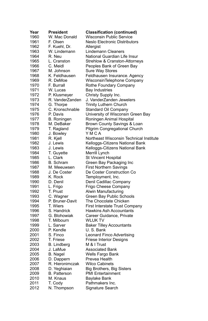| Year         | <b>President</b>            | <b>Classification (continued)</b>          |
|--------------|-----------------------------|--------------------------------------------|
| 1960         | W. Mac Donald               | Wisconsin Public Service                   |
| 1961         | F. Olsen                    | Neslo Electronic Distributors              |
| 1962         | F. Kuehl, Dr.               | Allergist                                  |
| 1963         | W. Lindemann                | <b>Lindemann Cleaners</b>                  |
| 1964         | R. Neu                      | National Guardian Life Insur               |
| 1965         | L. Cranston                 | Strehlow & Cranston-Attorneys              |
| 1966         | C. Meidl                    | Peoples Bank of Green Bay                  |
| 1967         | M. Johnson                  | Sure Way Stores                            |
| 1968         | K. Feldhausen               | Feldhausen Insurance. Agency               |
| 1969         | R. DeMoe                    | WisconsinTelephone Company                 |
| 1970         | F. Burrall                  | Rothe Foundary Company                     |
| 1971         | W. Lucas                    | <b>Bay Industries</b>                      |
| 1972         | P. Klusmeyer                | Christy Supply Inc.                        |
| 1973         | R. VanderZanden             | J. VanderZanden Jewelers                   |
| 1974         | G. Thorpe                   | Trinity Luthern Church                     |
| 1975         | C. Kronschnable             | Standard Oil Company                       |
| 1976         | P. Davis                    | University of Wisconsin Green Bay          |
| 1977         | B. Roningen                 | Roningen Animal Hospital                   |
| 1978         | M. DeBaker                  | Brown County Savings & Loan                |
| 1979         | T. Ragland                  | <b>Pilgrim Congregational Church</b>       |
| 1980         | J. Bowley                   | YMCA                                       |
| 1981         | R. Kjell                    | Northeast Wisconsin Technical Institute    |
| 1982         | J. Lewis                    | Kelloggs-Citizens National Bank            |
| 1983         | J. Lewis                    | Kelloggs-Citizens National Bank            |
| 1984         | T. Guyette                  | Merrill Lynch                              |
| 1985         | L. Clark                    | St Vincent Hospital                        |
| 1986         | <b>B.</b> Schram            | Green Bay Packaging Inc                    |
| 1987         | M. Meeuwsen                 | <b>First Northern Savings</b>              |
| 1988         | J. De Coster                | De Coster Construction Co                  |
| 1989         | K. Rock                     | Temployment, Inc.                          |
| 1990         | D. Denil                    | Denil Cadillac Company                     |
| 1991         | L. Frigo                    | Frigo Cheese Company                       |
| 1992         | T. Prust                    | Alwin Manufacturing                        |
| 1993         | C. Wagner                   | Green Bay Public Schools                   |
| 1994         | P. Bruner-Davit             | The Chocolate Chicken                      |
| 1995         | T. Wiers                    | First Interstate Trust Company             |
| 1996         | S. Handrick                 | Hawkins Ash Accountants                    |
| 1997         |                             |                                            |
| 1998         | G. Blohowiak<br>T. Milbourn | Career Guidance, Private<br><b>WLUK TV</b> |
| 1999         | L. Sarver                   |                                            |
| 2000         | P. Kendle                   | Baker Tilley Accountants<br>U.S. Bank      |
|              |                             |                                            |
| 2001<br>2002 | S. Finco                    | Leonard Finco Advertising                  |
|              | T. Friese                   | <b>Friese Interior Designs</b>             |
| 2003         | B. Lindberg                 | M & I Trust                                |
| 2004         | J. LaMue                    | Associated Bank                            |
| 2005         | <b>B.</b> Nagel             | Wells Fargo Bank                           |
| 2006         | D. Dappern                  | Prevea Health                              |
| 2007         | R. Hieronimczak             | <b>Wilco Cabinets</b>                      |
| 2008         | D. Yeghiaian                | Big Brothers, Big Sisters                  |
| 2009         | <b>B.</b> Patterson         | <b>PMI Entertainment</b>                   |
| 2010         | M. Knaus                    | Baylake Bank                               |
| 2011         | T. Cody                     | Pathmakers Inc.                            |
| 2012         | N. Thompson                 | Signature Search                           |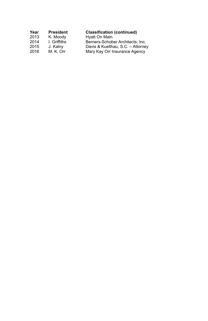| <b>President</b> | <b>Classification (continued)</b> |
|------------------|-----------------------------------|
| K. Moody         | Hyatt On Main                     |
| I. Griffiths     | Berners-Schober Architects, Inc.  |
| J. Kalny         | Davis & Kuelthau, S.C. - Attorney |
| M. K. Orr        | Mary Kay Orr Insurance Agency     |
|                  |                                   |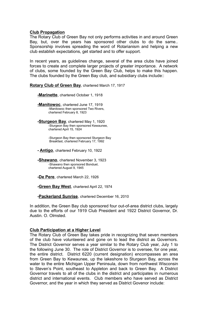#### **Club Propagation**

The Rotary Club of Green Bay not only performs activities in and around Green Bay, but, over the years has sponsored other clubs to do the same.. Sponsorship involves spreading the word of Rotarianism and helping a new club establish expectations, get started and to offer support.

In recent years, as guidelines change, several of the area clubs have joined forces to create and complete larger projects of greater importance. A network of clubs, some founded by the Green Bay Club, helps to make this happen. The clubs founded by the Green Bay club, and subsidiary clubs include::

**Rotary Club of Green Bay**, chartered March 17, 1917

**-Marinette**, chartered October 1, 1918

**-Manitowoc**, chartered June 17, 1919 -Manitowoc then sponsored Two Rivers, chartered February 8, 1923

**-Sturgeon Bay**, chartered May 1, 1920 -Sturgeon Bay then sponsored Kewaunee, chartered April 15, 1924

> -Sturgeon Bay then sponsored Sturgeon Bay Breakfast, chartered February 17, 1992

**- Antigo**, chartered February 10, 1922

**-Shawano**, chartered November 3, 1923 -Shawano then sponsored Bonduel, chartered August 9, 1945

**-De Pere**, chartered March 22, 1926

**-Green Bay West**, chartered April 22, 1974

**-Packerland Sunrise**, chartered December 16, 2010

In addition, the Green Bay club sponsored four out-of-area district clubs, largely due to the efforts of our 1919 Club President and 1922 District Governor, Dr. Austin. O. Olmsted.

#### **Club Participation at a Higher Level**

The Rotary Club of Green Bay takes pride in recognizing that seven members of the club have volunteered and gone on to lead the district as Governors. The District Governor serves a year similar to the Rotary Club year, July 1 to the following June 30. The role of District Governor is to oversee, for one year, the entire district. District 6220 (current designation) encompasses an area from Green Bay to Kewaunee, up the lakeshore to Sturgeon Bay, across the water to the entire Michigan Upper Peninsula, down from northwest Wisconsin to Steven's Point, southeast to Appleton and back to Green Bay. A District Governor travels to all of the clubs in the district and participates in numerous district and international events. Club members who have served as District Governor, and the year in which they served as District Govenor include: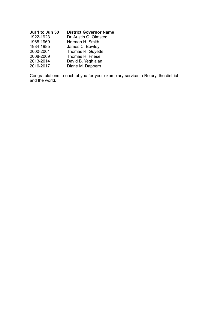| Jul 1 to Jun 30 | <b>District Governor Name</b> |
|-----------------|-------------------------------|
| 1922-1923       | Dr. Austin O. Olmsted         |
| 1968-1969       | Norman H. Smith               |
| 1984-1985       | James C. Bowley               |
| 2000-2001       | Thomas R. Guyette             |
| 2008-2009       | Thomas R. Friese              |
| 2013-2014       | David B. Yeghiaian            |
| 2016-2017       | Diane M. Dappern              |

Congratulations to each of you for your exemplary service to Rotary, the district and the world.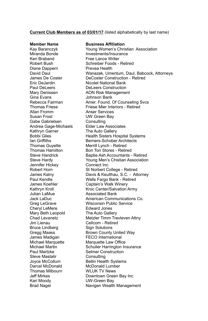#### **Current Club Members as of 03/01/17** (listed alphabetically by last name)

Ken Braband Free Lance Writer Diane Dappern Prevea Health Gina Evans Johnson Bank<br>Rebecca Fairman Amer Found I Allan Fromm Anser Services Gabe Gabrielsen Consulting Kathryn Garner The Auto Gallery Jennifer Hickey Connect Inc. Julian LaMue Associated Bank Cheryl LeMere Mary Beth Leopold The Auto Gallery Jim Lienau Cellcom - Retired Bruce Lindberg James Madigan FECO International Paul Martzke Selmer Construction Steve Mastalir Consulting Darcel McDonald McDonald Lumber Thomas Milbourn WI UK TV News Kari Moody UW-Green Bay

#### **Member Name Business Affiliation**

Kay Baranczyk Young Women's Christian Association Miranda Bonde **Investments/Insurance** Robert Bush Schreiber Foods - Retired David Daul Wanazek, Umentum, Daul, Babcock, Attorneys James De Coster **DeCoster Construction - Retired**<br>
Fric De Jardin **De Construction - Nicolet National Bank Nicolet National Bank** Paul DeLeers DeLeers Construction Mary Denissen **AON Risk Management** Rebecca Fairman Amer. Found. Of Counseling Svcs Friese Mier Interiors - Retired UW Green Bay Andrea Gage-Michaels Elder Law Associates Bobbi Giles Health Sisters Hospital Systems Berners-Schober Architects Thomas Guvette Merrill Lynch - Retired Thomas Hamilton Bon Ton Stores - Retired<br>Steve Handrick Bantie Ash Accountants -Baptie Ash Accountants - Retired Steve Hardy Young Men's Chistian Association Robert Horn St Norbert College - Retired James Kalny Davis & Keulthau, S.C. - Attorney Paul Kendle Wells Fargo Bank - Retired James Koehler **Captain's Walk Winery** Kathryn Kroll Kroc Center/Salvation Army Jack LaDuc American Communications Co. Greg LeGrave **Wisconsin Public Service**<br>Chervl LeMere **Brand Edward Jones** Chad Levanetz Metzler Timm Trevleven Attny Gregg Maass **Brown County United Way** Michael Marquette Marquette Law Office Schuller Harrington Insurance **Bellin Health Systems** Jeff Mirkes Downtown Green Bay Inc Brad Nagel **Navigen Wealth Management**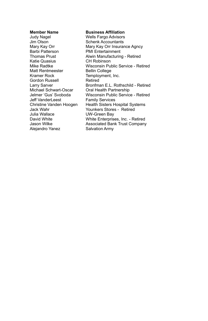Judy Nagel Wells Fargo Advisors Jim Olson Schenk Accountants<br>Mary Kay Orr Mary Kay Orr Insurar Barbi Patterson PMI Entertainment Katie Quasius <sup>CH</sup> Robinson<br>Mike Radtke Misconsin Pu Matt Rentmeester Bellin College<br>Kramer Rock Krament. Gordon Russell Michael Schwart-Oscar Oral Health Partnership Jeff VanderLeest Julia Wallace **UW-Green Bay**<br>
David White **Number White Enterprise** Alejandro Yanez **Salvation Army** 

#### **Member Name Business Affiliation**

Mary Kay Orr **Mary Kay Orr Insurance Agncy**<br> **Barbi Patterson** PMI Entertainment Alwin Manufacturing - Retired Wisconsin Public Service - Retired Temployment, Inc.<br>Retired Larry Sarver **Bronfman E.L. Rothschild - Retired** Wisconsin Public Service - Retired<br>Family Services Christine Vanden Hoogen Health Sisters Hospital Systems Jack Wahr **Younkers Stores - Retired**<br>
Julia Wallace **In Table Control** UW-Green Bay White Enterprises, Inc. - Retired Jason Wilke Associated Bank Trust Company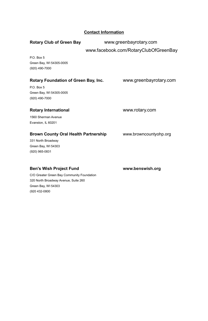|                                             | <b>Contact Information</b> |                                       |
|---------------------------------------------|----------------------------|---------------------------------------|
| <b>Rotary Club of Green Bay</b>             | www.greenbayrotary.com     |                                       |
|                                             |                            | www.facebook.com/RotaryClubOfGreenBay |
| P.O. Box 5                                  |                            |                                       |
| Green Bay, WI 54305-0005                    |                            |                                       |
| (920) 490-7000                              |                            |                                       |
| Rotary Foundation of Green Bay, Inc.        |                            | www.greenbayrotary.com                |
| P.O. Box 5                                  |                            |                                       |
| Green Bay, WI 54305-0005                    |                            |                                       |
| (920) 490-7000                              |                            |                                       |
| <b>Rotary International</b>                 |                            | www.rotary.com                        |
| 1560 Sherman Avenue                         |                            |                                       |
| Evanston, IL 60201                          |                            |                                       |
| <b>Brown County Oral Health Partnership</b> |                            | www.browncountyohp.org                |
| 331 North Broadway                          |                            |                                       |
| Green Bay, WI 54303                         |                            |                                       |
| (920) 965-0831                              |                            |                                       |
|                                             |                            |                                       |
|                                             |                            |                                       |

### **Ben's Wish Project Fund [www.benswish.org](http://www.benswish.org/)**

C/O Greater Green Bay Community Foundation 320 North Broadway Avenue, Suite 260 Green Bay, WI 54303 (920 432-0800